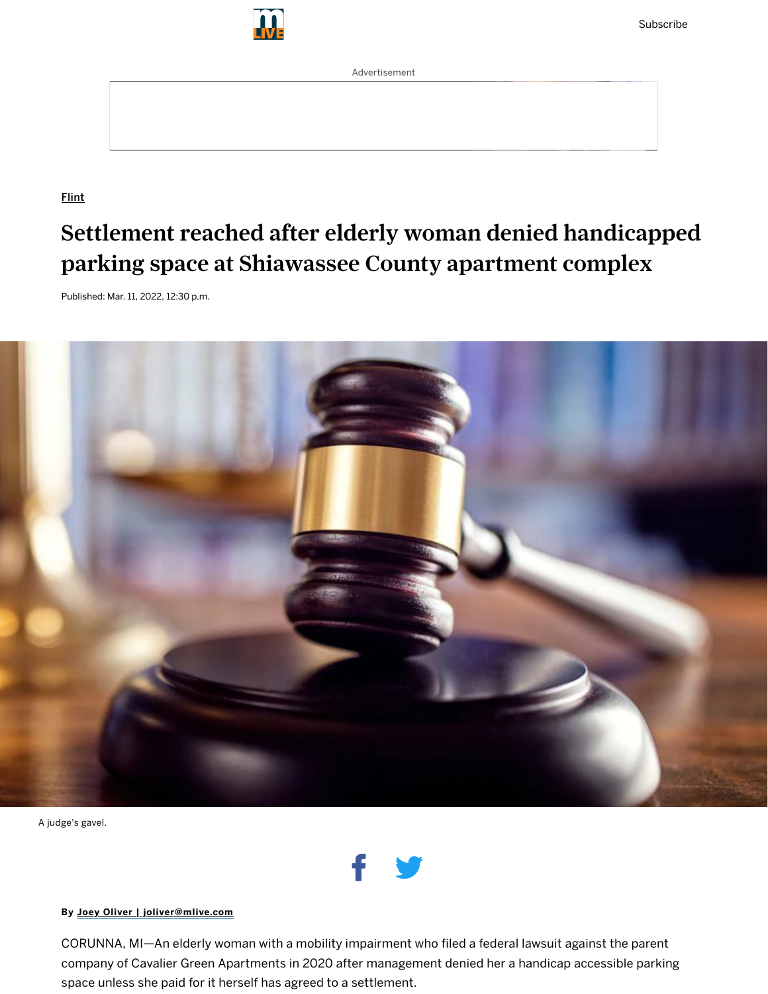

Advertisement

**[Flint](https://www.mlive.com/news/flint)** 

# Settlement reached after elderly woman denied handicapped parking space at Shiawassee County apartment complex

Published: Mar. 11, 2022, 12:30 p.m.



A judge's gavel.



#### By Joey Oliver | [joliver@mlive.com](http://www.mlive.com/staff/joliver1/posts.html)

CORUNNA, MI—An elderly woman with a mobility impairment who filed a federal lawsuit against the parent company of Cavalier Green Apartments in 2020 after management denied her a handicap accessible parking space unless she paid for it herself has agreed to a settlement.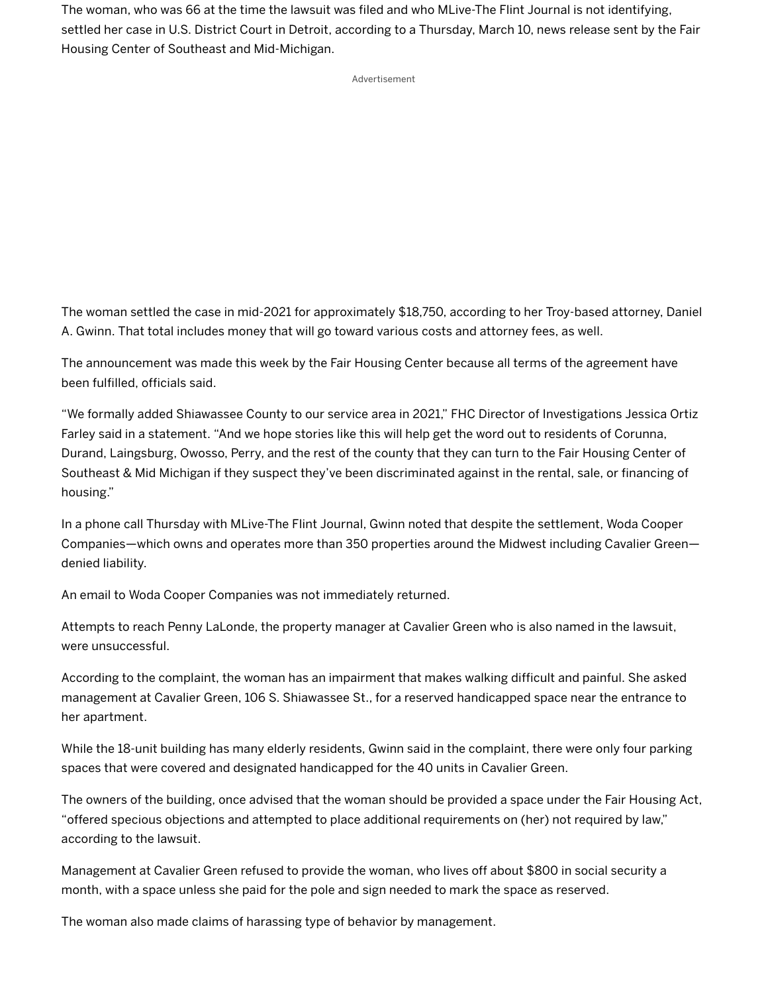The woman, who was 66 at the time the lawsuit was filed and who MLive-The Flint Journal is not identifying, settled her case in U.S. District Court in Detroit, according to a Thursday, March 10, news release sent by the Fair Housing Center of Southeast and Mid-Michigan.

Advertisement

The woman settled the case in mid-2021 for approximately \$18,750, according to her Troy-based attorney, Daniel A. Gwinn. That total includes money that will go toward various costs and attorney fees, as well.

The announcement was made this week by the Fair Housing Center because all terms of the agreement have been fulfilled, officials said.

"We formally added Shiawassee County to our service area in 2021," FHC Director of Investigations Jessica Ortiz Farley said in a statement. "And we hope stories like this will help get the word out to residents of Corunna, Durand, Laingsburg, Owosso, Perry, and the rest of the county that they can turn to the Fair Housing Center of Southeast & Mid Michigan if they suspect they've been discriminated against in the rental, sale, or financing of housing."

In a phone call Thursday with MLive-The Flint Journal, Gwinn noted that despite the settlement, Woda Cooper Companies—which owns and operates more than 350 properties around the Midwest including Cavalier Green denied liability.

An email to Woda Cooper Companies was not immediately returned.

Attempts to reach Penny LaLonde, the property manager at Cavalier Green who is also named in the lawsuit, were unsuccessful.

According to the complaint, the woman has an impairment that makes walking difficult and painful. She asked management at Cavalier Green, 106 S. Shiawassee St., for a reserved handicapped space near the entrance to her apartment.

While the 18-unit building has many elderly residents, Gwinn said in the complaint, there were only four parking spaces that were covered and designated handicapped for the 40 units in Cavalier Green.

The owners of the building, once advised that the woman should be provided a space under the Fair Housing Act, "offered specious objections and attempted to place additional requirements on (her) not required by law," according to the lawsuit.

Management at Cavalier Green refused to provide the woman, who lives off about \$800 in social security a month, with a space unless she paid for the pole and sign needed to mark the space as reserved.

The woman also made claims of harassing type of behavior by management.